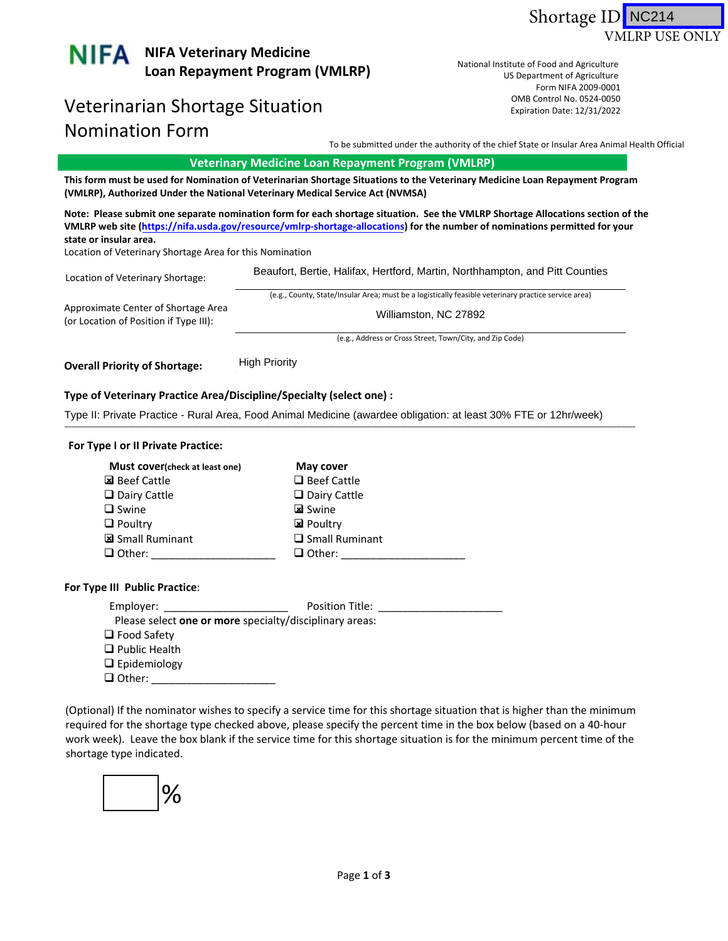



# Veterinarian Shortage Situation and the control No. 0524-0050 Nomination Form

US Department of Agriculture Form NIFA 2009-0001 US Department of Agriculture<br>Form NIFA 2009‐0001<br>OMB Control No. 0524‐0050 National Institute of Food and Agriculture Expiration Date: 12/31/2022

To be submitted under the authority of the chief State or Insular Area Animal Health Official

## **Veterinary Medicine Loan Repayment Program (VMLRP)**

This form must be used for Nomination of Veterinarian Shortage Situations to the Veterinary Medicine Loan Repayment Program **(VMLRP), Authorized Under the National Veterinary Medical Service Act (NVMSA)**

Note: Please submit one separate nomination form for each shortage situation. See the VMLRP Shortage Allocations section of the VMLRP web site (https://nifa.usda.gov/resource/vmlrp-shortage-allocations) for the number of nominations permitted for your **state or insular area.**

Location of Veterinary Shortage Area for this Nomination

| Location of Veterinary Shortage:                                              | Beaufort, Bertie, Halifax, Hertford, Martin, Northhampton, and Pitt Counties                         |
|-------------------------------------------------------------------------------|------------------------------------------------------------------------------------------------------|
|                                                                               | (e.g., County, State/Insular Area; must be a logistically feasible veterinary practice service area) |
| Approximate Center of Shortage Area<br>(or Location of Position if Type III): | Williamston, NC 27892                                                                                |
|                                                                               | .<br>$\overline{\phantom{a}}$<br>.<br>_______                                                        |

(e.g., Address or Cross Street, Town/City, and Zip Code)

 **Overall Priority of Shortage:** \_\_\_\_\_\_\_\_\_\_\_\_\_\_ High Priority

#### **Type of Veterinary Practice Area/Discipline/Specialty (select one) :**

Type II: Private Practice - Rural Area, Food Animal Medicine (awardee obligation: at least 30% FTE or 12hr/week)<br>————————————————————

#### **For Type I or II Private Practice:**

| Must cover(check at least one) | May cover             |
|--------------------------------|-----------------------|
| 図 Beef Cattle                  | $\Box$ Beef Cattle    |
| $\Box$ Dairy Cattle            | $\Box$ Dairy Cattle   |
| $\Box$ Swine                   | <b>図</b> Swine        |
| $\Box$ Poultry                 | <b>図</b> Poultry      |
| Small Ruminant                 | $\Box$ Small Ruminant |
| $\Box$ Other:                  | $\Box$ Other:         |

### **For Type III Public Practice**:

| Employer:                                               | Position Title: |  |
|---------------------------------------------------------|-----------------|--|
| Please select one or more specialty/disciplinary areas: |                 |  |
| $\Box$ Food Safety                                      |                 |  |
| $\Box$ Public Health                                    |                 |  |
| $\Box$ Epidemiology                                     |                 |  |
| $\Box$ Other:                                           |                 |  |

 (Optional) If the nominator wishes to specify a service time for this shortage situation that is higher than the minimum required for the shortage type checked above, please specify the percent time in the box below (based on a 40‐hour work week). Leave the box blank if the service time for this shortage situation is for the minimum percent time of the shortage type indicated.

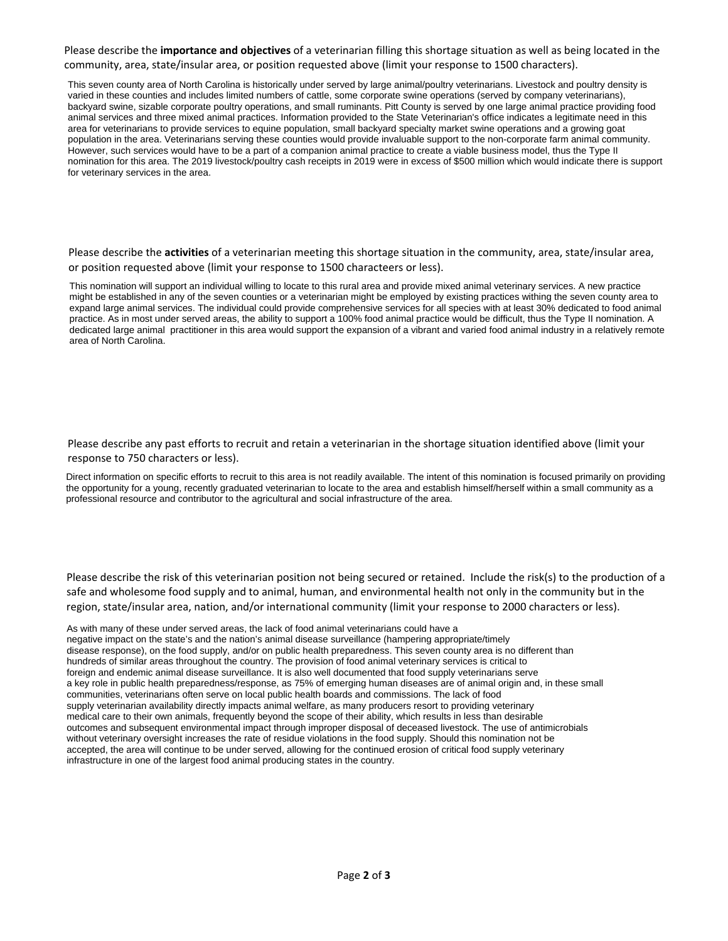Please describe the **importance and objectives** of a veterinarian filling this shortage situation as well as being located in the community, area, state/insular area, or position requested above (limit your response to 1500 characters).

This seven county area of North Carolina is historically under served by large animal/poultry veterinarians. Livestock and poultry density is varied in these counties and includes limited numbers of cattle, some corporate swine operations (served by company veterinarians), backyard swine, sizable corporate poultry operations, and small ruminants. Pitt County is served by one large animal practice providing food animal services and three mixed animal practices. Information provided to the State Veterinarian's office indicates a legitimate need in this area for veterinarians to provide services to equine population, small backyard specialty market swine operations and a growing goat population in the area. Veterinarians serving these counties would provide invaluable support to the non-corporate farm animal community. However, such services would have to be a part of a companion animal practice to create a viable business model, thus the Type II nomination for this area. The 2019 livestock/poultry cash receipts in 2019 were in excess of \$500 million which would indicate there is support for veterinary services in the area.

 Please describe the **activities** of a veterinarian meeting this shortage situation in the community, area, state/insular area, or position requested above (limit your response to 1500 characteers or less).

This nomination will support an individual willing to locate to this rural area and provide mixed animal veterinary services. A new practice might be established in any of the seven counties or a veterinarian might be employed by existing practices withing the seven county area to expand large animal services. The individual could provide comprehensive services for all species with at least 30% dedicated to food animal practice. As in most under served areas, the ability to support a 100% food animal practice would be difficult, thus the Type II nomination. A dedicated large animal practitioner in this area would support the expansion of a vibrant and varied food animal industry in a relatively remote area of North Carolina.

 Please describe any past efforts to recruit and retain a veterinarian in the shortage situation identified above (limit your response to 750 characters or less).

Direct information on specific efforts to recruit to this area is not readily available. The intent of this nomination is focused primarily on providing the opportunity for a young, recently graduated veterinarian to locate to the area and establish himself/herself within a small community as a professional resource and contributor to the agricultural and social infrastructure of the area.

 Please describe the risk of this veterinarian position not being secured or retained. Include the risk(s) to the production of a safe and wholesome food supply and to animal, human, and environmental health not only in the community but in the region, state/insular area, nation, and/or international community (limit your response to 2000 characters or less).

As with many of these under served areas, the lack of food animal veterinarians could have a negative impact on the state's and the nation's animal disease surveillance (hampering appropriate/timely disease response), on the food supply, and/or on public health preparedness. This seven county area is no different than hundreds of similar areas throughout the country. The provision of food animal veterinary services is critical to foreign and endemic animal disease surveillance. It is also well documented that food supply veterinarians serve a key role in public health preparedness/response, as 75% of emerging human diseases are of animal origin and, in these small communities, veterinarians often serve on local public health boards and commissions. The lack of food supply veterinarian availability directly impacts animal welfare, as many producers resort to providing veterinary medical care to their own animals, frequently beyond the scope of their ability, which results in less than desirable outcomes and subsequent environmental impact through improper disposal of deceased livestock. The use of antimicrobials without veterinary oversight increases the rate of residue violations in the food supply. Should this nomination not be accepted, the area will continue to be under served, allowing for the continued erosion of critical food supply veterinary infrastructure in one of the largest food animal producing states in the country.